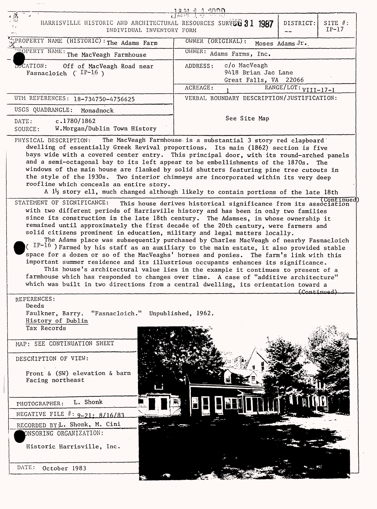| 18492 2000<br>HARRISVILLE HISTORIC AND ARCHITECTURAL RESOURCES SURVEL 31 1987<br>DISTRICT:<br>SITE $#$ :<br>$IP-17$<br>INDIVIDUAL INVENTORY FORM |                                                                                                                                                                                                                                                                                                                                                                                                                                                                                                                                                                                                                                                                                                                                                                                                                                      |
|--------------------------------------------------------------------------------------------------------------------------------------------------|--------------------------------------------------------------------------------------------------------------------------------------------------------------------------------------------------------------------------------------------------------------------------------------------------------------------------------------------------------------------------------------------------------------------------------------------------------------------------------------------------------------------------------------------------------------------------------------------------------------------------------------------------------------------------------------------------------------------------------------------------------------------------------------------------------------------------------------|
| PROPERTY NAME (HISTORIC): The Adams Farm                                                                                                         | OWNER (ORIGINAL):<br>Moses Adams Jr.                                                                                                                                                                                                                                                                                                                                                                                                                                                                                                                                                                                                                                                                                                                                                                                                 |
| <b>EXEMPLERTY NAME:</b> The MacVeagh Farmhouse                                                                                                   | OWNER: Adams Farms, Inc.                                                                                                                                                                                                                                                                                                                                                                                                                                                                                                                                                                                                                                                                                                                                                                                                             |
| <b>LOCATION:</b><br>Off of MacVeagh Road near<br>Fasnacloich ( $IP-16$ )                                                                         | c/o MacVeagh<br>ADDRESS:<br>9418 Brian Jac Lane<br>Great Falls, VA 22066<br>RANGE/LOT: VIII-17-1<br>ACREAGE:                                                                                                                                                                                                                                                                                                                                                                                                                                                                                                                                                                                                                                                                                                                         |
| UTM REFERENCES: 18-734750-4756625                                                                                                                | VERBAL BOUNDARY DESCRIPTION/JUSTIFICATION:                                                                                                                                                                                                                                                                                                                                                                                                                                                                                                                                                                                                                                                                                                                                                                                           |
| USGS QUADRANGLE:<br>Monadnock                                                                                                                    |                                                                                                                                                                                                                                                                                                                                                                                                                                                                                                                                                                                                                                                                                                                                                                                                                                      |
| c.1780/1862<br>DATE:<br>W.Morgan/Dublin Town History<br>SOURCE:                                                                                  | See Site Map                                                                                                                                                                                                                                                                                                                                                                                                                                                                                                                                                                                                                                                                                                                                                                                                                         |
| roofline which conceals an entire story.<br>STATEMENT OF SIGNIFICANCE:                                                                           | and a semi-octagonal bay to its left appear to be embellishments of the 1870s. The<br>windows of the main house are flanked by solid shutters featuring pine tree cutouts in<br>the style of the 1930s. Two interior chimneys are incorporated within its very deep<br>A 1 <sup>1</sup> / <sub>2</sub> story ell, much changed although likely to contain portions of the late 18th<br>(Continued<br>This house derives historical significance from its association<br>with two different periods of Harrisville history and has been in only two families<br>since its construction in the late 18th century. The Adamses, in whose ownership it                                                                                                                                                                                   |
|                                                                                                                                                  | remained until approximately the first decade of the 20th century, were farmers and<br>solid citizens prominent in education, military and legal matters locally.<br>The Adams place was subsequently purchased by Charles MacVeagh of nearby Fasnacloich<br>( $\text{IP-16}$ ) Farmed by his staff as an auxiliary to the main estate, it also provided stable<br>space for a dozen or so of the MacVeaghs' horses and ponies. The farm's link with this<br>important summer residence and its illustrious occupants enhances its significance.<br>This house's architectural value lies in the example it continues to present of a<br>farmhouse which has responded to changes over time. A case of "additive architecture"<br>which was built in two directions from a central dwelling, its orientation toward a<br>(Continued) |
| REFERENCES:<br>Deeds                                                                                                                             |                                                                                                                                                                                                                                                                                                                                                                                                                                                                                                                                                                                                                                                                                                                                                                                                                                      |
| Faulkner, Barry. "Fasnacloich." Unpublished, 1962.<br>History of Dublin<br>Tax Records                                                           |                                                                                                                                                                                                                                                                                                                                                                                                                                                                                                                                                                                                                                                                                                                                                                                                                                      |
| MAP: SEE CONTINUATION SHEET<br>DESCRIPTION OF VIEW:                                                                                              |                                                                                                                                                                                                                                                                                                                                                                                                                                                                                                                                                                                                                                                                                                                                                                                                                                      |
| Front & $(SW)$ elevation & barn<br>Facing northeast                                                                                              |                                                                                                                                                                                                                                                                                                                                                                                                                                                                                                                                                                                                                                                                                                                                                                                                                                      |
| L. Shonk<br>PHOTOGRAPHER:                                                                                                                        |                                                                                                                                                                                                                                                                                                                                                                                                                                                                                                                                                                                                                                                                                                                                                                                                                                      |
| NEGATIVE FILE #: 9-21: 8/16/83                                                                                                                   |                                                                                                                                                                                                                                                                                                                                                                                                                                                                                                                                                                                                                                                                                                                                                                                                                                      |
| RECORDED BYL. Shonk, M. Cini                                                                                                                     |                                                                                                                                                                                                                                                                                                                                                                                                                                                                                                                                                                                                                                                                                                                                                                                                                                      |
| ONSORING ORGANIZATION:                                                                                                                           |                                                                                                                                                                                                                                                                                                                                                                                                                                                                                                                                                                                                                                                                                                                                                                                                                                      |
| Historic Harrisville, Inc.                                                                                                                       |                                                                                                                                                                                                                                                                                                                                                                                                                                                                                                                                                                                                                                                                                                                                                                                                                                      |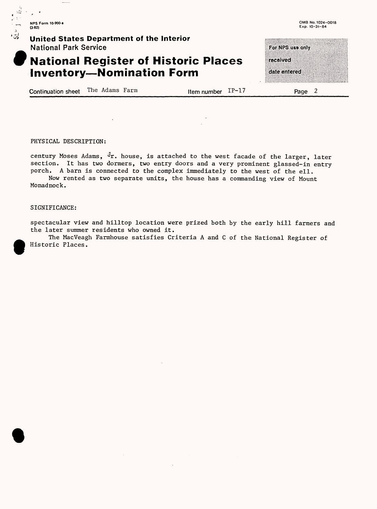**NFS Form 10-900-• O-82)**

 $\overline{\phantom{a}}$ 

 $\mathbb{Z}^2 \rightarrow$ 

#### **' ^ United States Department of the Interior** National Park Service

## **W National Register of Historic Places Inventory-Nomination Form**

Continuation sheet The Adams Farm  $\mu$  Item number  $IP-17$  Page 2

received

date entered

For NPS use only

PHYSICAL DESCRIPTION:

century Moses Adams,  $\mathcal{F}_r$ . house, is attached to the west facade of the larger, later section. It has two dormers, two entry doors and a very prominent glassed-in entry porch. A barn is connected to the complex immediately to the west of the ell. Now rented as two separate units, the house has a commanding view of Mount

Monadnock.

#### SIGNIFICANCE:

 $\bullet$ 

spectacular view and hilltop location were prized both by the early hill farmers and the later summer residents who owned it.

 $\bullet$ The MacVeagh Farmhouse satisfies Criteria A and C of the National Register of Historic Places.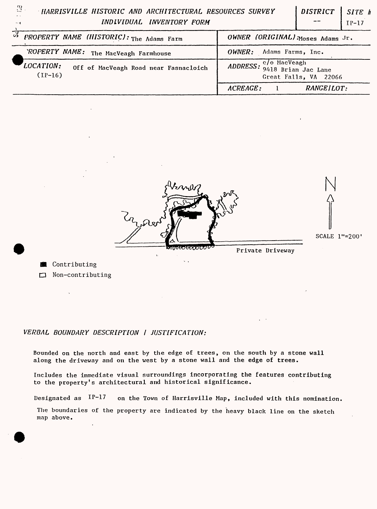## **HARRISVILLE HISTORIC AND ARCHITECTURAL RESOURCES SURVEY** *INDIVIDUAL INVENTORY FORM*

*DISTRICT SITE h* IP-17

|                                                                 | .                                              |
|-----------------------------------------------------------------|------------------------------------------------|
| $\mathbb{Z}$<br>PROPERTY NAME (HISTORIC): The Adams Farm        | OWNER (ORIGINAL) Moses Adams Jr.               |
| 'ROPERTY NAME: The MacVeagh Farmhouse                           | Adams Farms, Inc.<br>OWNER:                    |
| LOCATION:<br>Off of MacVeagh Road near Fasnacloich<br>$(IP-16)$ | ADDRESS: C/o MacVeagh<br>Great Falls, VA 22066 |
|                                                                 | <b>RANGE/LOT:</b><br>ACREAGE:                  |

Post. ᡙᠥᡦᡉᡛᢓᠸᢧᢕᢕ Private Driveway

 $\mathbf{v}$  .

N  $\hat{\varphi}$ 

SCALE 1"=200'

**图 Contributing** Non-contributing

### VERBAL BOUNDARY DESCRIPTION I JUSTIFICATION:

Bounded on the north and east by the edge of trees, on the south by a stone wall along the driveway and on the west by a stone wall and the edge of trees.

Includes the immediate visual surroundings incorporating the features contributing to the property's architectural and historical significance.

Designated as  $IP-17$  on the Town of Harrisville Map, included with this nomination.

The boundaries of the property are indicated by the heavy black line on the sketch map above.